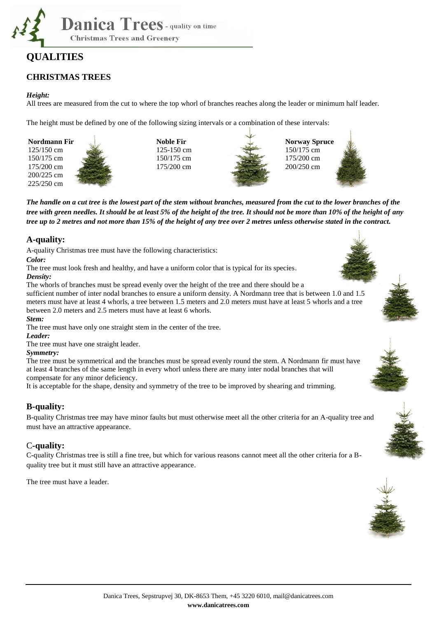

# **QUALITIES**

## **CHRISTMAS TREES**

#### *Height:*

All trees are measured from the cut to where the top whorl of branches reaches along the leader or minimum half leader.

The height must be defined by one of the following sizing intervals or a combination of these intervals:



**Noble Fir** 125-150 cm 150/175 cm 175/200 cm



**Norway Spruce** 150/175 cm 175/200 cm 200/250 cm



*The handle on a cut tree is the lowest part of the stem without branches, measured from the cut to the lower branches of the tree with green needles. It should be at least 5% of the height of the tree. It should not be more than 10% of the height of any tree up to 2 metres and not more than 15% of the height of any tree over 2 metres unless otherwise stated in the contract.*

### **A-quality:**

A-quality Christmas tree must have the following characteristics:

*Color:* 

The tree must look fresh and healthy, and have a uniform color that is typical for its species. *Density:* 

The whorls of branches must be spread evenly over the height of the tree and there should be a sufficient number of inter nodal branches to ensure a uniform density. A Nordmann tree that is between 1.0 and 1.5

meters must have at least 4 whorls, a tree between 1.5 meters and 2.0 meters must have at least 5 whorls and a tree between 2.0 meters and 2.5 meters must have at least 6 whorls.

#### *Stem:*

The tree must have only one straight stem in the center of the tree.

#### *Leader:*

The tree must have one straight leader.

#### *Symmetry:*

The tree must be symmetrical and the branches must be spread evenly round the stem. A Nordmann fir must have at least 4 branches of the same length in every whorl unless there are many inter nodal branches that will compensate for any minor deficiency.

It is acceptable for the shape, density and symmetry of the tree to be improved by shearing and trimming.

### **B-quality:**

B-quality Christmas tree may have minor faults but must otherwise meet all the other criteria for an A-quality tree and must have an attractive appearance.

### C**-quality:**

C-quality Christmas tree is still a fine tree, but which for various reasons cannot meet all the other criteria for a Bquality tree but it must still have an attractive appearance.

The tree must have a leader.